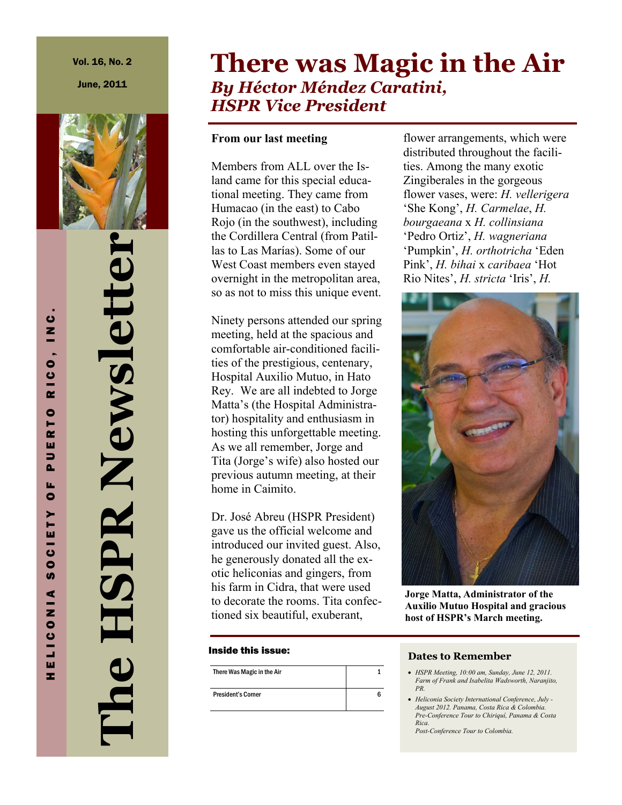June, 2011



**The HSPR Newsletter HSPR Newslette** 

# **There was Magic in the Air** *By Héctor Méndez Caratini, HSPR Vice President*

## **From our last meeting**

Members from ALL over the Island came for this special educational meeting. They came from Humacao (in the east) to Cabo Rojo (in the southwest), including the Cordillera Central (from Patillas to Las Marías). Some of our West Coast members even stayed overnight in the metropolitan area, so as not to miss this unique event.

Ninety persons attended our spring meeting, held at the spacious and comfortable air-conditioned facilities of the prestigious, centenary, Hospital Auxilio Mutuo, in Hato Rey. We are all indebted to Jorge Matta's (the Hospital Administrator) hospitality and enthusiasm in hosting this unforgettable meeting. As we all remember, Jorge and Tita (Jorge's wife) also hosted our previous autumn meeting, at their home in Caimito.

Dr. José Abreu (HSPR President) gave us the official welcome and introduced our invited guest. Also, he generously donated all the exotic heliconias and gingers, from his farm in Cidra, that were used to decorate the rooms. Tita confectioned six beautiful, exuberant,

#### Inside this issue:

| There Was Magic in the Air |    |
|----------------------------|----|
| <b>President's Corner</b>  | ิค |

flower arrangements, which were distributed throughout the facilities. Among the many exotic Zingiberales in the gorgeous flower vases, were: *H. vellerigera* 'She Kong', *H. Carmelae*, *H. bourgaeana* x *H. collinsiana*  'Pedro Ortiz', *H. wagneriana*  'Pumpkin', *H. orthotricha* 'Eden Pink', *H. bihai* x *caribaea* 'Hot Rio Nites', *H. stricta* 'Iris', *H.* 



**Jorge Matta, Administrator of the Auxilio Mutuo Hospital and gracious host of HSPR's March meeting.** 

#### **Dates to Remember**

- x *HSPR Meeting, 10:00 am, Sunday, June 12, 2011. Farm of Frank and Isabelita Wadsworth, Naranjito, PR.*
- x *Heliconia Society International Conference, July August 2012. Panama, Costa Rica & Colombia. Pre-Conference Tour to Chiriquí, Panama & Costa Rica.*

*Post-Conference Tour to Colombia.*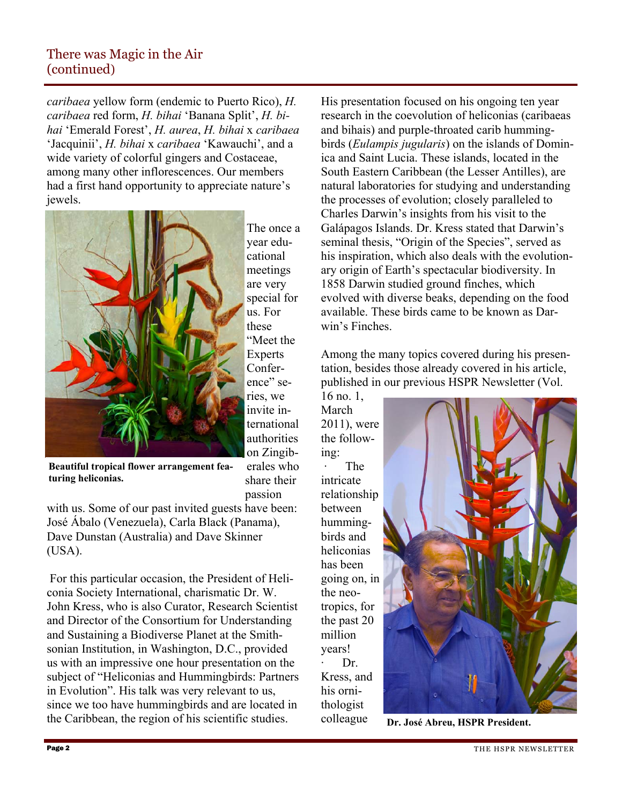*caribaea* yellow form (endemic to Puerto Rico), *H. caribaea* red form, *H. bihai* 'Banana Split', *H. bihai* 'Emerald Forest', *H. aurea*, *H. bihai* x *caribaea*  'Jacquinii', *H. bihai* x *caribaea* 'Kawauchi', and a wide variety of colorful gingers and Costaceae, among many other inflorescences. Our members had a first hand opportunity to appreciate nature's jewels.



The once a year educational meetings are very special for us. For these "Meet the **Experts** Conference" series, we invite international authorities on Zingiberales who share their

**Beautiful tropical flower arrangement featuring heliconias.** 

passion

with us. Some of our past invited guests have been: José Ábalo (Venezuela), Carla Black (Panama), Dave Dunstan (Australia) and Dave Skinner (USA).

 For this particular occasion, the President of Heliconia Society International, charismatic Dr. W. John Kress, who is also Curator, Research Scientist and Director of the Consortium for Understanding and Sustaining a Biodiverse Planet at the Smithsonian Institution, in Washington, D.C., provided us with an impressive one hour presentation on the subject of "Heliconias and Hummingbirds: Partners in Evolution". His talk was very relevant to us, since we too have hummingbirds and are located in the Caribbean, the region of his scientific studies.

His presentation focused on his ongoing ten year research in the coevolution of heliconias (caribaeas and bihais) and purple-throated carib hummingbirds (*Eulampis jugularis*) on the islands of Dominica and Saint Lucia. These islands, located in the South Eastern Caribbean (the Lesser Antilles), are natural laboratories for studying and understanding the processes of evolution; closely paralleled to Charles Darwin's insights from his visit to the Galápagos Islands. Dr. Kress stated that Darwin's seminal thesis, "Origin of the Species", served as his inspiration, which also deals with the evolutionary origin of Earth's spectacular biodiversity. In 1858 Darwin studied ground finches, which evolved with diverse beaks, depending on the food available. These birds came to be known as Darwin's Finches.

Among the many topics covered during his presentation, besides those already covered in his article, published in our previous HSPR Newsletter (Vol.

16 no. 1, March 2011), were the following: · The intricate relationship between hummingbirds and heliconias has been going on, in the neotropics, for the past 20 million years! Dr. Kress, and his ornithologist colleague



**Dr. José Abreu, HSPR President.** 

 $\overline{a}$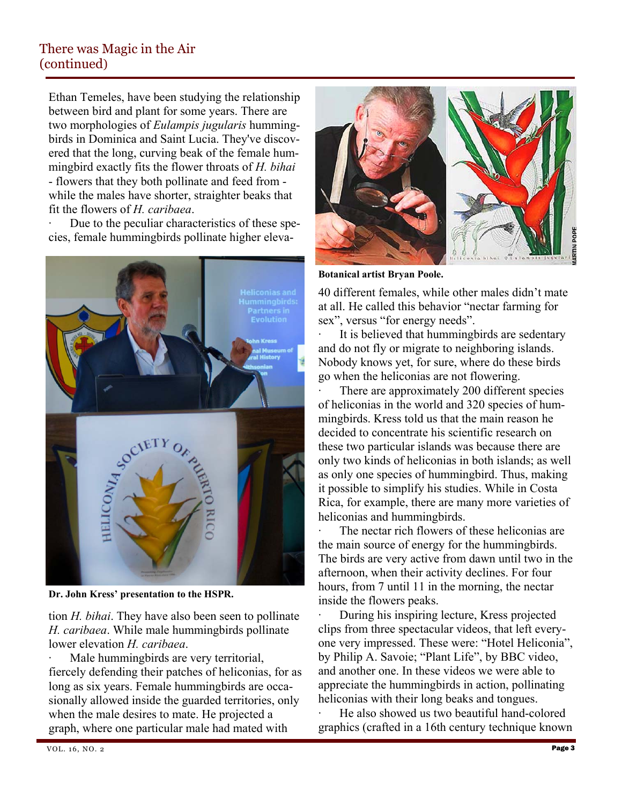Ethan Temeles, have been studying the relationship between bird and plant for some years. There are two morphologies of *Eulampis jugularis* hummingbirds in Dominica and Saint Lucia. They've discovered that the long, curving beak of the female hummingbird exactly fits the flower throats of *H. bihai*  - flowers that they both pollinate and feed from while the males have shorter, straighter beaks that fit the flowers of *H. caribaea*.

Due to the peculiar characteristics of these species, female hummingbirds pollinate higher eleva-



**Dr. John Kress' presentation to the HSPR.** 

tion *H. bihai*. They have also been seen to pollinate *H. caribaea*. While male hummingbirds pollinate lower elevation *H. caribaea*.

Male humming birds are very territorial, fiercely defending their patches of heliconias, for as long as six years. Female hummingbirds are occasionally allowed inside the guarded territories, only when the male desires to mate. He projected a graph, where one particular male had mated with



**Botanical artist Bryan Poole.** 

40 different females, while other males didn't mate at all. He called this behavior "nectar farming for sex", versus "for energy needs".

It is believed that humming birds are sedentary and do not fly or migrate to neighboring islands. Nobody knows yet, for sure, where do these birds go when the heliconias are not flowering.

There are approximately 200 different species of heliconias in the world and 320 species of hummingbirds. Kress told us that the main reason he decided to concentrate his scientific research on these two particular islands was because there are only two kinds of heliconias in both islands; as well as only one species of hummingbird. Thus, making it possible to simplify his studies. While in Costa Rica, for example, there are many more varieties of heliconias and hummingbirds.

The nectar rich flowers of these heliconias are the main source of energy for the hummingbirds. The birds are very active from dawn until two in the afternoon, when their activity declines. For four hours, from 7 until 11 in the morning, the nectar inside the flowers peaks.

During his inspiring lecture, Kress projected clips from three spectacular videos, that left everyone very impressed. These were: "Hotel Heliconia", by Philip A. Savoie; "Plant Life", by BBC video, and another one. In these videos we were able to appreciate the hummingbirds in action, pollinating heliconias with their long beaks and tongues.

He also showed us two beautiful hand-colored graphics (crafted in a 16th century technique known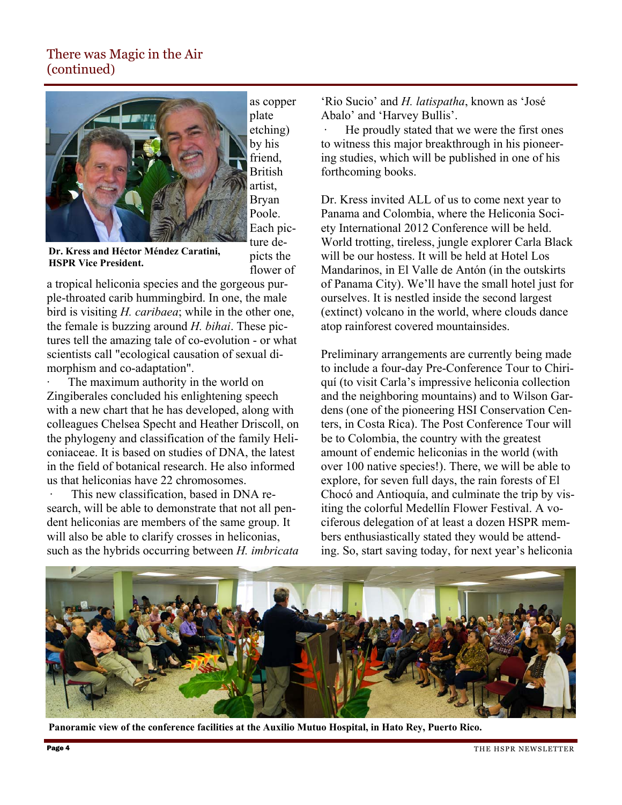

as copper plate etching) by his friend, British artist, Bryan Poole. Each picture depicts the flower of

**Dr. Kress and Héctor Méndez Caratini, HSPR Vice President.** 

a tropical heliconia species and the gorgeous purple-throated carib hummingbird. In one, the male bird is visiting *H. caribaea*; while in the other one, the female is buzzing around *H. bihai*. These pictures tell the amazing tale of co-evolution - or what scientists call "ecological causation of sexual dimorphism and co-adaptation".

The maximum authority in the world on Zingiberales concluded his enlightening speech with a new chart that he has developed, along with colleagues Chelsea Specht and Heather Driscoll, on the phylogeny and classification of the family Heliconiaceae. It is based on studies of DNA, the latest in the field of botanical research. He also informed us that heliconias have 22 chromosomes.

This new classification, based in DNA research, will be able to demonstrate that not all pendent heliconias are members of the same group. It will also be able to clarify crosses in heliconias, such as the hybrids occurring between *H. imbricata* 

'Rio Sucio' and *H. latispatha*, known as 'José Abalo' and 'Harvey Bullis'.

He proudly stated that we were the first ones to witness this major breakthrough in his pioneering studies, which will be published in one of his forthcoming books.

Dr. Kress invited ALL of us to come next year to Panama and Colombia, where the Heliconia Society International 2012 Conference will be held. World trotting, tireless, jungle explorer Carla Black will be our hostess. It will be held at Hotel Los Mandarinos, in El Valle de Antón (in the outskirts of Panama City). We'll have the small hotel just for ourselves. It is nestled inside the second largest (extinct) volcano in the world, where clouds dance atop rainforest covered mountainsides.

Preliminary arrangements are currently being made to include a four-day Pre-Conference Tour to Chiriquí (to visit Carla's impressive heliconia collection and the neighboring mountains) and to Wilson Gardens (one of the pioneering HSI Conservation Centers, in Costa Rica). The Post Conference Tour will be to Colombia, the country with the greatest amount of endemic heliconias in the world (with over 100 native species!). There, we will be able to explore, for seven full days, the rain forests of El Chocó and Antioquía, and culminate the trip by visiting the colorful Medellín Flower Festival. A vociferous delegation of at least a dozen HSPR members enthusiastically stated they would be attending. So, start saving today, for next year's heliconia



**Panoramic view of the conference facilities at the Auxilio Mutuo Hospital, in Hato Rey, Puerto Rico.**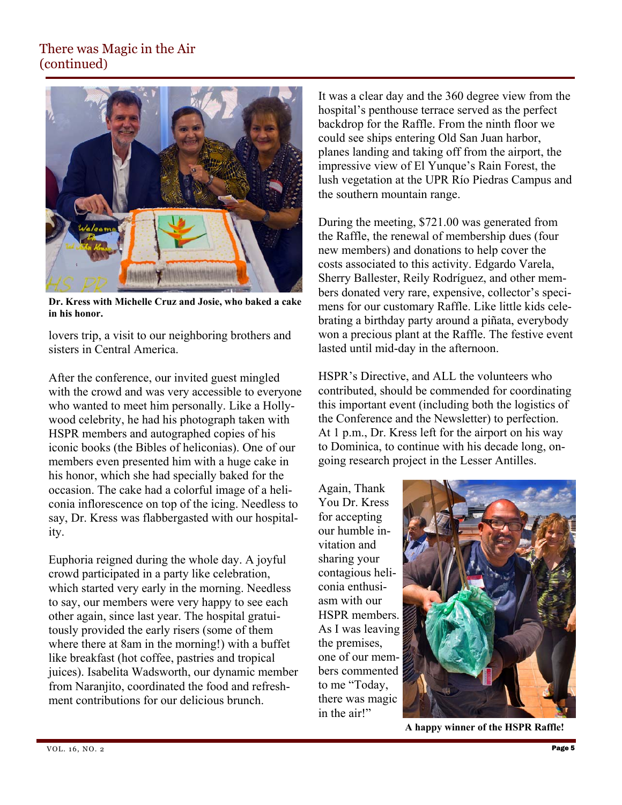

**Dr. Kress with Michelle Cruz and Josie, who baked a cake in his honor.** 

lovers trip, a visit to our neighboring brothers and sisters in Central America.

After the conference, our invited guest mingled with the crowd and was very accessible to everyone who wanted to meet him personally. Like a Hollywood celebrity, he had his photograph taken with HSPR members and autographed copies of his iconic books (the Bibles of heliconias). One of our members even presented him with a huge cake in his honor, which she had specially baked for the occasion. The cake had a colorful image of a heliconia inflorescence on top of the icing. Needless to say, Dr. Kress was flabbergasted with our hospitality.

Euphoria reigned during the whole day. A joyful crowd participated in a party like celebration, which started very early in the morning. Needless to say, our members were very happy to see each other again, since last year. The hospital gratuitously provided the early risers (some of them where there at 8am in the morning!) with a buffet like breakfast (hot coffee, pastries and tropical juices). Isabelita Wadsworth, our dynamic member from Naranjito, coordinated the food and refreshment contributions for our delicious brunch.

It was a clear day and the 360 degree view from the hospital's penthouse terrace served as the perfect backdrop for the Raffle. From the ninth floor we could see ships entering Old San Juan harbor, planes landing and taking off from the airport, the impressive view of El Yunque's Rain Forest, the lush vegetation at the UPR Río Piedras Campus and the southern mountain range.

During the meeting, \$721.00 was generated from the Raffle, the renewal of membership dues (four new members) and donations to help cover the costs associated to this activity. Edgardo Varela, Sherry Ballester, Reily Rodríguez, and other members donated very rare, expensive, collector's specimens for our customary Raffle. Like little kids celebrating a birthday party around a piñata, everybody won a precious plant at the Raffle. The festive event lasted until mid-day in the afternoon.

HSPR's Directive, and ALL the volunteers who contributed, should be commended for coordinating this important event (including both the logistics of the Conference and the Newsletter) to perfection. At 1 p.m., Dr. Kress left for the airport on his way to Dominica, to continue with his decade long, ongoing research project in the Lesser Antilles.

Again, Thank You Dr. Kress for accepting our humble invitation and sharing your contagious heliconia enthusiasm with our HSPR members. As I was leaving the premises, one of our members commented to me "Today, there was magic in the air!"



**A happy winner of the HSPR Raffle!**